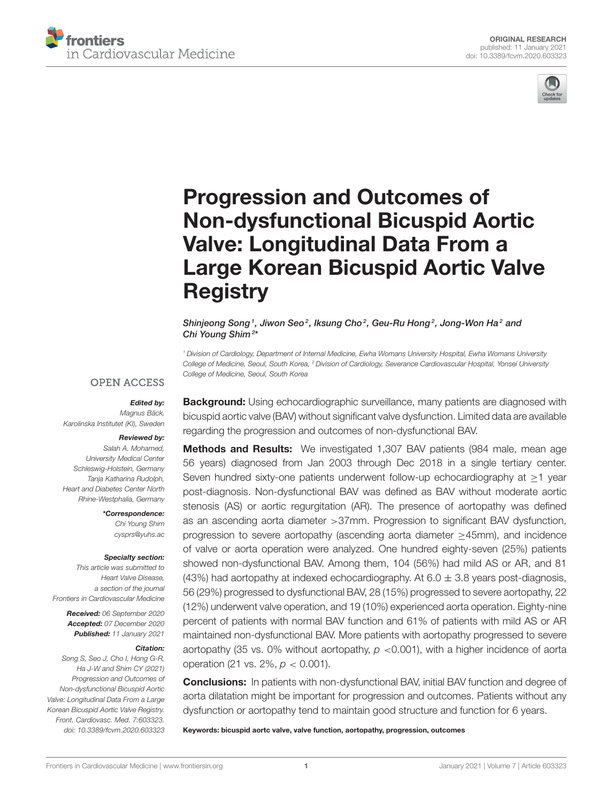



# Progression and Outcomes of Non-dysfunctional Bicuspid Aortic Valve: Longitudinal Data From a [Large Korean Bicuspid Aortic Valve](https://www.frontiersin.org/articles/10.3389/fcvm.2020.603323/full) **Registry**

Shinjeong Song<sup>1</sup>, Jiwon Seo<sup>2</sup>, Iksung Cho<sup>2</sup>, Geu-Ru Hong<sup>2</sup>, Jong-Won Ha<sup>2</sup> and Chi Young Shim<sup>2\*</sup>

<sup>1</sup> Division of Cardiology, Department of Internal Medicine, Ewha Womans University Hospital, Ewha Womans University College of Medicine, Seoul, South Korea, <sup>2</sup> Division of Cardiology, Severance Cardiovascular Hospital, Yonsei University College of Medicine, Seoul, South Korea

#### **OPEN ACCESS**

#### Edited by:

Magnus Bäck, Karolinska Institutet (KI), Sweden

#### Reviewed by:

Salah A. Mohamed, University Medical Center Schleswig-Holstein, Germany Tanja Katharina Rudolph, Heart and Diabetes Center North Rhine-Westphalia, Germany

> \*Correspondence: Chi Young Shim [cysprs@yuhs.ac](mailto:cysprs@yuhs.ac)

#### Specialty section:

This article was submitted to Heart Valve Disease, a section of the journal Frontiers in Cardiovascular Medicine

> Received: 06 September 2020 Accepted: 07 December 2020 Published: 11 January 2021

#### Citation:

Song S, Seo J, Cho I, Hong G-R, Ha J-W and Shim CY (2021) Progression and Outcomes of Non-dysfunctional Bicuspid Aortic Valve: Longitudinal Data From a Large Korean Bicuspid Aortic Valve Registry. Front. Cardiovasc. Med. 7:603323. doi: [10.3389/fcvm.2020.603323](https://doi.org/10.3389/fcvm.2020.603323)

**Background:** Using echocardiographic surveillance, many patients are diagnosed with bicuspid aortic valve (BAV) without significant valve dysfunction. Limited data are available regarding the progression and outcomes of non-dysfunctional BAV.

Methods and Results: We investigated 1,307 BAV patients (984 male, mean age 56 years) diagnosed from Jan 2003 through Dec 2018 in a single tertiary center. Seven hundred sixty-one patients underwent follow-up echocardiography at ≥1 year post-diagnosis. Non-dysfunctional BAV was defined as BAV without moderate aortic stenosis (AS) or aortic regurgitation (AR). The presence of aortopathy was defined as an ascending aorta diameter >37mm. Progression to significant BAV dysfunction, progression to severe aortopathy (ascending aorta diameter ≥45mm), and incidence of valve or aorta operation were analyzed. One hundred eighty-seven (25%) patients showed non-dysfunctional BAV. Among them, 104 (56%) had mild AS or AR, and 81 (43%) had aortopathy at indexed echocardiography. At  $6.0 \pm 3.8$  years post-diagnosis, 56 (29%) progressed to dysfunctional BAV, 28 (15%) progressed to severe aortopathy, 22 (12%) underwent valve operation, and 19 (10%) experienced aorta operation. Eighty-nine percent of patients with normal BAV function and 61% of patients with mild AS or AR maintained non-dysfunctional BAV. More patients with aortopathy progressed to severe aortopathy (35 vs. 0% without aortopathy,  $p$  <0.001), with a higher incidence of aorta operation (21 vs. 2%,  $p < 0.001$ ).

**Conclusions:** In patients with non-dysfunctional BAV, initial BAV function and degree of aorta dilatation might be important for progression and outcomes. Patients without any dysfunction or aortopathy tend to maintain good structure and function for 6 years.

Keywords: bicuspid aortc valve, valve function, aortopathy, progression, outcomes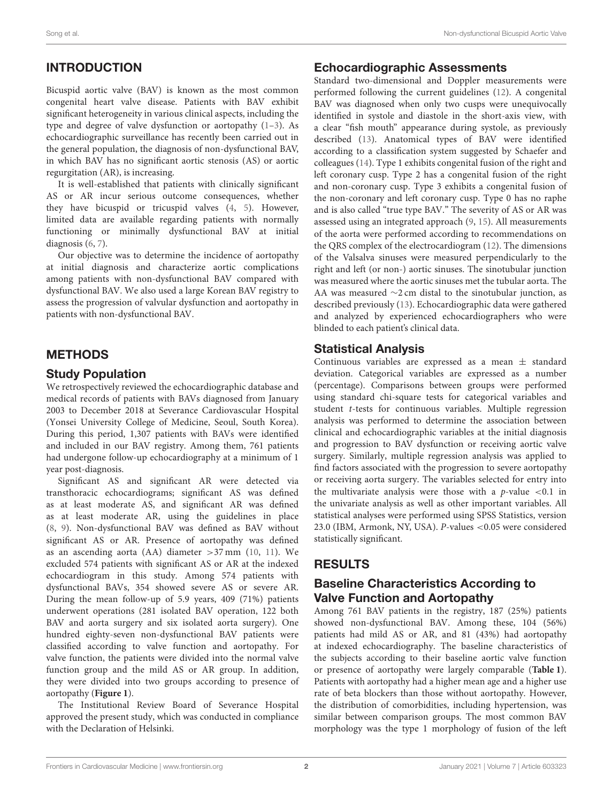# INTRODUCTION

Bicuspid aortic valve (BAV) is known as the most common congenital heart valve disease. Patients with BAV exhibit significant heterogeneity in various clinical aspects, including the type and degree of valve dysfunction or aortopathy [\(1](#page-6-0)[–3\)](#page-6-1). As echocardiographic surveillance has recently been carried out in the general population, the diagnosis of non-dysfunctional BAV, in which BAV has no significant aortic stenosis (AS) or aortic regurgitation (AR), is increasing.

It is well-established that patients with clinically significant AS or AR incur serious outcome consequences, whether they have bicuspid or tricuspid valves [\(4,](#page-6-2) [5\)](#page-6-3). However, limited data are available regarding patients with normally functioning or minimally dysfunctional BAV at initial diagnosis [\(6,](#page-6-4) [7\)](#page-6-5).

Our objective was to determine the incidence of aortopathy at initial diagnosis and characterize aortic complications among patients with non-dysfunctional BAV compared with dysfunctional BAV. We also used a large Korean BAV registry to assess the progression of valvular dysfunction and aortopathy in patients with non-dysfunctional BAV.

# METHODS

## Study Population

We retrospectively reviewed the echocardiographic database and medical records of patients with BAVs diagnosed from January 2003 to December 2018 at Severance Cardiovascular Hospital (Yonsei University College of Medicine, Seoul, South Korea). During this period, 1,307 patients with BAVs were identified and included in our BAV registry. Among them, 761 patients had undergone follow-up echocardiography at a minimum of 1 year post-diagnosis.

Significant AS and significant AR were detected via transthoracic echocardiograms; significant AS was defined as at least moderate AS, and significant AR was defined as at least moderate AR, using the guidelines in place [\(8,](#page-6-6) [9\)](#page-6-7). Non-dysfunctional BAV was defined as BAV without significant AS or AR. Presence of aortopathy was defined as an ascending aorta (AA) diameter >37 mm [\(10,](#page-6-8) [11\)](#page-6-9). We excluded 574 patients with significant AS or AR at the indexed echocardiogram in this study. Among 574 patients with dysfunctional BAVs, 354 showed severe AS or severe AR. During the mean follow-up of 5.9 years, 409 (71%) patients underwent operations (281 isolated BAV operation, 122 both BAV and aorta surgery and six isolated aorta surgery). One hundred eighty-seven non-dysfunctional BAV patients were classified according to valve function and aortopathy. For valve function, the patients were divided into the normal valve function group and the mild AS or AR group. In addition, they were divided into two groups according to presence of aortopathy (**[Figure 1](#page-2-0)**).

The Institutional Review Board of Severance Hospital approved the present study, which was conducted in compliance with the Declaration of Helsinki.

#### Echocardiographic Assessments

Standard two-dimensional and Doppler measurements were performed following the current guidelines [\(12\)](#page-6-10). A congenital BAV was diagnosed when only two cusps were unequivocally identified in systole and diastole in the short-axis view, with a clear "fish mouth" appearance during systole, as previously described [\(13\)](#page-6-11). Anatomical types of BAV were identified according to a classification system suggested by Schaefer and colleagues [\(14\)](#page-7-0). Type 1 exhibits congenital fusion of the right and left coronary cusp. Type 2 has a congenital fusion of the right and non-coronary cusp. Type 3 exhibits a congenital fusion of the non-coronary and left coronary cusp. Type 0 has no raphe and is also called "true type BAV." The severity of AS or AR was assessed using an integrated approach [\(9,](#page-6-7) [15\)](#page-7-1). All measurements of the aorta were performed according to recommendations on the QRS complex of the electrocardiogram [\(12\)](#page-6-10). The dimensions of the Valsalva sinuses were measured perpendicularly to the right and left (or non-) aortic sinuses. The sinotubular junction was measured where the aortic sinuses met the tubular aorta. The AA was measured ∼2 cm distal to the sinotubular junction, as described previously [\(13\)](#page-6-11). Echocardiographic data were gathered and analyzed by experienced echocardiographers who were blinded to each patient's clinical data.

## Statistical Analysis

Continuous variables are expressed as a mean ± standard deviation. Categorical variables are expressed as a number (percentage). Comparisons between groups were performed using standard chi-square tests for categorical variables and student t-tests for continuous variables. Multiple regression analysis was performed to determine the association between clinical and echocardiographic variables at the initial diagnosis and progression to BAV dysfunction or receiving aortic valve surgery. Similarly, multiple regression analysis was applied to find factors associated with the progression to severe aortopathy or receiving aorta surgery. The variables selected for entry into the multivariate analysis were those with a  $p$ -value <0.1 in the univariate analysis as well as other important variables. All statistical analyses were performed using SPSS Statistics, version 23.0 (IBM, Armonk, NY, USA). P-values <0.05 were considered statistically significant.

# RESULTS

# Baseline Characteristics According to Valve Function and Aortopathy

Among 761 BAV patients in the registry, 187 (25%) patients showed non-dysfunctional BAV. Among these, 104 (56%) patients had mild AS or AR, and 81 (43%) had aortopathy at indexed echocardiography. The baseline characteristics of the subjects according to their baseline aortic valve function or presence of aortopathy were largely comparable (**[Table 1](#page-2-1)**). Patients with aortopathy had a higher mean age and a higher use rate of beta blockers than those without aortopathy. However, the distribution of comorbidities, including hypertension, was similar between comparison groups. The most common BAV morphology was the type 1 morphology of fusion of the left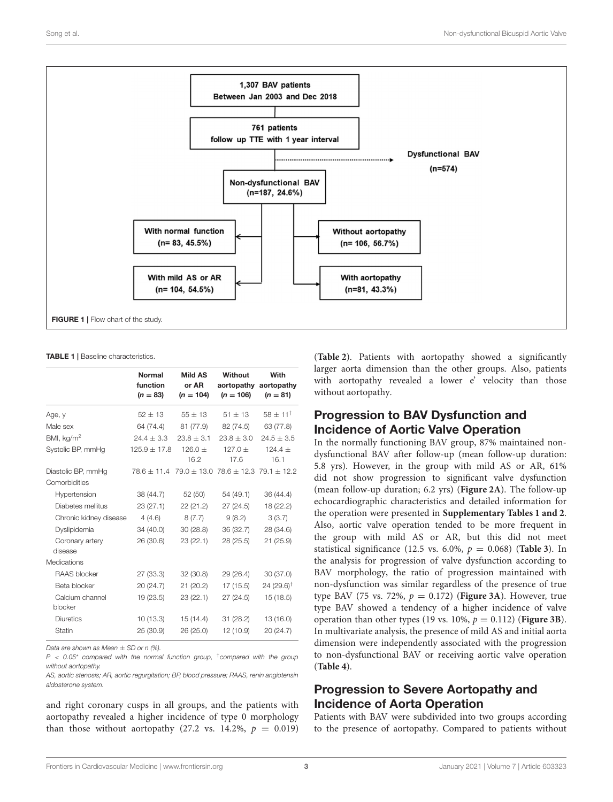

<span id="page-2-1"></span><span id="page-2-0"></span>TABLE 1 | Baseline characteristics.

|                            | Normal<br>function<br>$(n = 83)$                                | Mild AS<br>or AR<br>$(n = 104)$ | Without<br>$(n = 106)$ | With<br>aortopathy aortopathy<br>$(n = 81)$ |
|----------------------------|-----------------------------------------------------------------|---------------------------------|------------------------|---------------------------------------------|
| Age, y                     | $52 \pm 13$                                                     | $55 \pm 13$                     | $51 \pm 13$            | $58 \pm 11^{+}$                             |
| Male sex                   | 64 (74.4)                                                       | 81 (77.9)                       | 82 (74.5)              | 63 (77.8)                                   |
| BMI, kq/m <sup>2</sup>     | $24.4 \pm 3.3$                                                  | $23.8 \pm 3.1$                  | $23.8 \pm 3.0$         | $24.5 \pm 3.5$                              |
| Systolic BP, mmHq          | $125.9 + 17.8$                                                  | $126.0 +$<br>16.2               | $127.0 +$<br>17.6      | $124.4 +$<br>16.1                           |
| Diastolic BP, mmHg         | $78.6 \pm 11.4$ $79.0 \pm 13.0$ $78.6 \pm 12.3$ $79.1 \pm 12.2$ |                                 |                        |                                             |
| Comorbidities              |                                                                 |                                 |                        |                                             |
| Hypertension               | 38 (44.7)                                                       | 52 (50)                         | 54 (49.1)              | 36 (44.4)                                   |
| Diabetes mellitus          | 23(27.1)                                                        | 22 (21.2)                       | 27(24.5)               | 18 (22.2)                                   |
| Chronic kidney disease     | 4(4.6)                                                          | 8(7.7)                          | 9(8.2)                 | 3(3.7)                                      |
| Dyslipidemia               | 34 (40.0)                                                       | 30(28.8)                        | 36 (32.7)              | 28 (34.6)                                   |
| Coronary artery<br>disease | 26 (30.6)                                                       | 23 (22.1)                       | 28 (25.5)              | 21 (25.9)                                   |
| Medications                |                                                                 |                                 |                        |                                             |
| RAAS blocker               | 27 (33.3)                                                       | 32(30.8)                        | 29 (26.4)              | 30 (37.0)                                   |
| Beta blocker               | 20 (24.7)                                                       | 21 (20.2)                       | 17 (15.5)              | $24(29.6)$ <sup>†</sup>                     |
| Calcium channel<br>blocker | 19(23.5)                                                        | 23(22.1)                        | 27(24.5)               | 15(18.5)                                    |
| <b>Diuretics</b>           | 10(13.3)                                                        | 15 (14.4)                       | 31(28.2)               | 13 (16.0)                                   |
| <b>Statin</b>              | 25 (30.9)                                                       | 26 (25.0)                       | 12 (10.9)              | 20 (24.7)                                   |

Data are shown as Mean + SD or n (%).

 $P < 0.05^*$  compared with the normal function group, <sup>t</sup>compared with the group without aortopathy.

AS, aortic stenosis; AR, aortic regurgitation; BP, blood pressure; RAAS, renin angiotensin aldosterone system.

and right coronary cusps in all groups, and the patients with aortopathy revealed a higher incidence of type 0 morphology than those without aortopathy (27.2 vs. 14.2%,  $p = 0.019$ ) (**[Table 2](#page-3-0)**). Patients with aortopathy showed a significantly larger aorta dimension than the other groups. Also, patients with aortopathy revealed a lower e' velocity than those without aortopathy.

## Progression to BAV Dysfunction and Incidence of Aortic Valve Operation

In the normally functioning BAV group, 87% maintained nondysfunctional BAV after follow-up (mean follow-up duration: 5.8 yrs). However, in the group with mild AS or AR, 61% did not show progression to significant valve dysfunction (mean follow-up duration; 6.2 yrs) (**[Figure 2A](#page-3-1)**). The follow-up echocardiographic characteristics and detailed information for the operation were presented in **[Supplementary Tables 1 and 2](#page-6-12)**. Also, aortic valve operation tended to be more frequent in the group with mild AS or AR, but this did not meet statistical significance (12.5 vs. 6.0%,  $p = 0.068$ ) (**[Table 3](#page-3-2)**). In the analysis for progression of valve dysfunction according to BAV morphology, the ratio of progression maintained with non-dysfunction was similar regardless of the presence of true type BAV (75 vs. 72%,  $p = 0.172$ ) (**[Figure 3A](#page-4-0)**). However, true type BAV showed a tendency of a higher incidence of valve operation than other types (19 vs. 10%,  $p = 0.112$ ) (**[Figure 3B](#page-4-0)**). In multivariate analysis, the presence of mild AS and initial aorta dimension were independently associated with the progression to non-dysfunctional BAV or receiving aortic valve operation (**[Table 4](#page-5-0)**).

## Progression to Severe Aortopathy and Incidence of Aorta Operation

Patients with BAV were subdivided into two groups according to the presence of aortopathy. Compared to patients without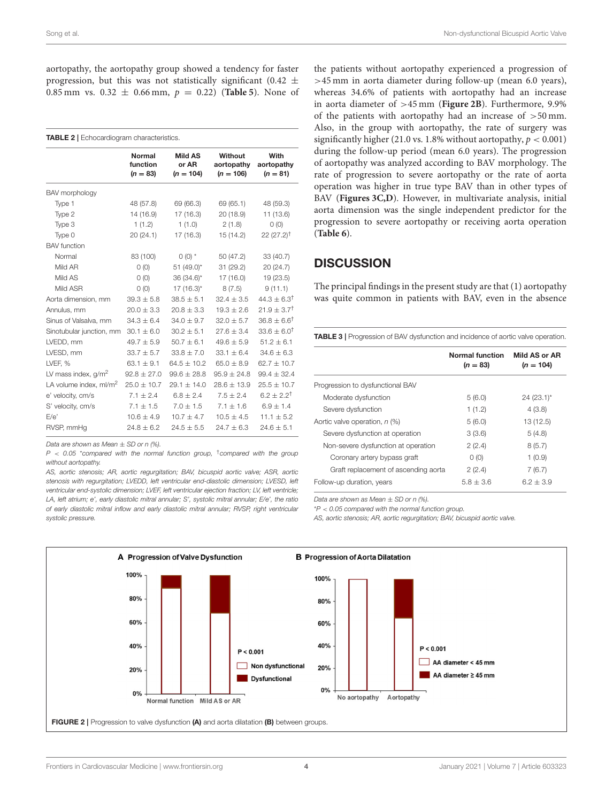aortopathy, the aortopathy group showed a tendency for faster progression, but this was not statistically significant (0.42  $\pm$ 0.85 mm vs.  $0.32 \pm 0.66$  mm,  $p = 0.22$ ) (**[Table 5](#page-5-1)**). None of

<span id="page-3-0"></span>

| <b>TABLE 2</b>   Echocardiogram characteristics. |                                         |                                        |                                      |                                  |
|--------------------------------------------------|-----------------------------------------|----------------------------------------|--------------------------------------|----------------------------------|
|                                                  | <b>Normal</b><br>function<br>$(n = 83)$ | <b>Mild AS</b><br>or AR<br>$(n = 104)$ | Without<br>aortopathy<br>$(n = 106)$ | With<br>aortopathy<br>$(n = 81)$ |
| BAV morphology                                   |                                         |                                        |                                      |                                  |
| Type 1                                           | 48 (57.8)                               | 69 (66.3)                              | 69 (65.1)                            | 48 (59.3)                        |
| Type 2                                           | 14 (16.9)                               | 17 (16.3)                              | 20 (18.9)                            | 11 (13.6)                        |
| Type 3                                           | 1(1.2)                                  | 1(1.0)                                 | 2(1.8)                               | O(0)                             |
| Type 0                                           | 20 (24.1)                               | 17 (16.3)                              | 15 (14.2)                            | $22(27.2)^{\dagger}$             |
| <b>BAV</b> function                              |                                         |                                        |                                      |                                  |
| Normal                                           | 83 (100)                                | $0(0)$ *                               | 50 (47.2)                            | 33 (40.7)                        |
| Mild AR                                          | O(0)                                    | 51 (49.0)*                             | 31 (29.2)                            | 20 (24.7)                        |
| Mild AS                                          | O(0)                                    | 36 (34.6)*                             | 17 (16.0)                            | 19 (23.5)                        |
| Mild ASR                                         | O(0)                                    | $17(16.3)$ *                           | 8(7.5)                               | 9(11.1)                          |
| Aorta dimension, mm                              | $39.3 + 5.8$                            | $38.5 + 5.1$                           | $32.4 + 3.5$                         | $44.3 \pm 6.3$ <sup>†</sup>      |
| Annulus, mm                                      | $20.0 \pm 3.3$                          | $20.8 \pm 3.3$                         | $19.3 \pm 2.6$                       | $21.9 \pm 3.7$ <sup>†</sup>      |
| Sinus of Valsalva, mm                            | $34.3 \pm 6.4$                          | $34.0 \pm 9.7$                         | $32.0 \pm 5.7$                       | $36.8 \pm 6.6^{\dagger}$         |
| Sinotubular junction, mm                         | $30.1 \pm 6.0$                          | $30.2 \pm 5.1$                         | $27.6 \pm 3.4$                       | $33.6 \pm 6.0$ <sup>†</sup>      |
| LVEDD, mm                                        | $49.7 \pm 5.9$                          | $50.7 \pm 6.1$                         | $49.6 \pm 5.9$                       | $51.2 \pm 6.1$                   |
| LVESD, mm                                        | $33.7 \pm 5.7$                          | $33.8 \pm 7.0$                         | $33.1 \pm 6.4$                       | $34.6 \pm 6.3$                   |
| LVEF. %                                          | $63.1 \pm 9.1$                          | $64.5 + 10.2$                          | $65.0 + 8.9$                         | $62.7 + 10.7$                    |
| LV mass index, $g/m^2$                           | $92.8 \pm 27.0$                         | $99.6 \pm 28.8$                        | $95.9 \pm 24.8$                      | $99.4 \pm 32.4$                  |
| LA volume index, ml/m <sup>2</sup>               | $25.0 \pm 10.7$                         | $29.1 \pm 14.0$                        | $28.6 \pm 13.9$                      | $25.5 \pm 10.7$                  |
| e' velocity, cm/s                                | $7.1 + 2.4$                             | $6.8 + 2.4$                            | $7.5 + 2.4$                          | $6.2 + 2.2^{\dagger}$            |
| S' velocity, cm/s                                | $7.1 \pm 1.5$                           | $7.0 \pm 1.5$                          | $7.1 \pm 1.6$                        | $6.9 \pm 1.4$                    |
| E/e'                                             | $10.6 \pm 4.9$                          | $10.7 \pm 4.7$                         | $10.5 + 4.5$                         | $11.1 \pm 5.2$                   |
| RVSP, mmHq                                       | $24.8 \pm 6.2$                          | $24.5 + 5.5$                           | $24.7 + 6.3$                         | $24.6 + 5.1$                     |

Data are shown as Mean  $\pm$  SD or n (%).

 $P < 0.05$  \*compared with the normal function group, <sup>+</sup>compared with the group without aortopathy.

AS, aortic stenosis; AR, aortic regurgitation; BAV, bicuspid aortic valve; ASR, aortic stenosis with regurgitation; LVEDD, left ventricular end-diastolic dimension; LVESD, left ventricular end-systolic dimension; LVEF, left ventricular ejection fraction; LV, left ventricle; LA, left atrium; e', early diastolic mitral annular; S', systolic mitral annular; E/e', the ratio of early diastolic mitral inflow and early diastolic mitral annular; RVSP, right ventricular systolic pressure.

the patients without aortopathy experienced a progression of >45 mm in aorta diameter during follow-up (mean 6.0 years), whereas 34.6% of patients with aortopathy had an increase in aorta diameter of >45 mm (**[Figure 2B](#page-3-1)**). Furthermore, 9.9% of the patients with aortopathy had an increase of >50 mm. Also, in the group with aortopathy, the rate of surgery was significantly higher (21.0 vs. 1.8% without aortopathy,  $p < 0.001$ ) during the follow-up period (mean 6.0 years). The progression of aortopathy was analyzed according to BAV morphology. The rate of progression to severe aortopathy or the rate of aorta operation was higher in true type BAV than in other types of BAV (**[Figures 3C,D](#page-4-0)**). However, in multivariate analysis, initial aorta dimension was the single independent predictor for the progression to severe aortopathy or receiving aorta operation (**[Table 6](#page-5-2)**).

#### **DISCUSSION**

The principal findings in the present study are that (1) aortopathy was quite common in patients with BAV, even in the absence

<span id="page-3-2"></span>TABLE 3 | Progression of BAV dysfunction and incidence of aortic valve operation.

|                                      | Normal function<br>$(n = 83)$ | Mild AS or AR<br>$(n = 104)$ |
|--------------------------------------|-------------------------------|------------------------------|
| Progression to dysfunctional BAV     |                               |                              |
| Moderate dysfunction                 | 5(6.0)                        | $24(23.1)^{*}$               |
| Severe dysfunction                   | 1(1.2)                        | 4(3.8)                       |
| Aortic valve operation, n (%)        | 5(6.0)                        | 13 (12.5)                    |
| Severe dysfunction at operation      | 3(3.6)                        | 5(4.8)                       |
| Non-severe dysfunction at operation  | 2(2.4)                        | 8(5.7)                       |
| Coronary artery bypass graft         | O(0)                          | 1(0.9)                       |
| Graft replacement of ascending aorta | 2(2.4)                        | 7(6.7)                       |
| Follow-up duration, years            | $5.8 + 3.6$                   | $6.2 + 3.9$                  |
|                                      |                               |                              |

Data are shown as Mean  $\pm$  SD or n (%).

 $*P < 0.05$  compared with the normal function group.

AS, aortic stenosis; AR, aortic regurgitation; BAV, bicuspid aortic valve.

<span id="page-3-1"></span>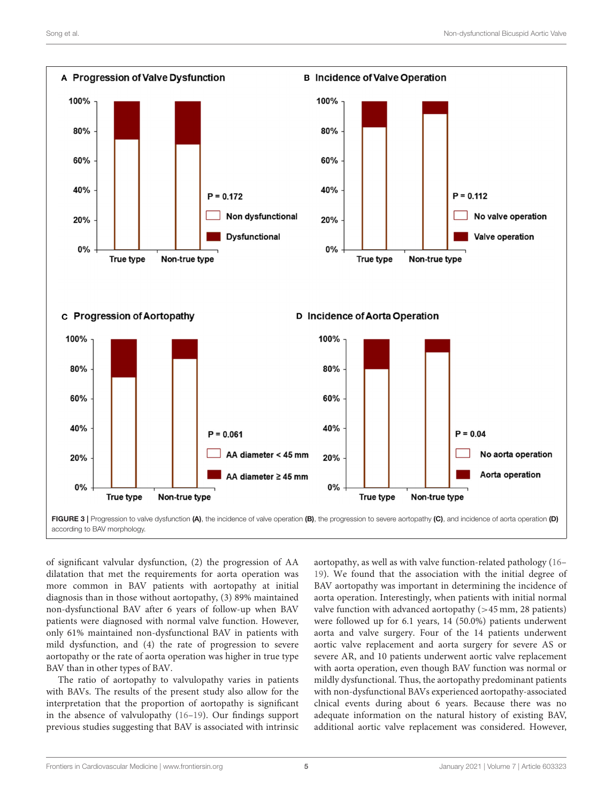

<span id="page-4-0"></span>of significant valvular dysfunction, (2) the progression of AA dilatation that met the requirements for aorta operation was more common in BAV patients with aortopathy at initial diagnosis than in those without aortopathy, (3) 89% maintained non-dysfunctional BAV after 6 years of follow-up when BAV patients were diagnosed with normal valve function. However, only 61% maintained non-dysfunctional BAV in patients with mild dysfunction, and (4) the rate of progression to severe aortopathy or the rate of aorta operation was higher in true type BAV than in other types of BAV.

The ratio of aortopathy to valvulopathy varies in patients with BAVs. The results of the present study also allow for the interpretation that the proportion of aortopathy is significant in the absence of valvulopathy [\(16–](#page-7-2)[19\)](#page-7-3). Our findings support previous studies suggesting that BAV is associated with intrinsic aortopathy, as well as with valve function-related pathology [\(16–](#page-7-2) [19\)](#page-7-3). We found that the association with the initial degree of BAV aortopathy was important in determining the incidence of aorta operation. Interestingly, when patients with initial normal valve function with advanced aortopathy  $(>45 \text{ mm}, 28 \text{ patients})$ were followed up for 6.1 years, 14 (50.0%) patients underwent aorta and valve surgery. Four of the 14 patients underwent aortic valve replacement and aorta surgery for severe AS or severe AR, and 10 patients underwent aortic valve replacement with aorta operation, even though BAV function was normal or mildly dysfunctional. Thus, the aortopathy predominant patients with non-dysfunctional BAVs experienced aortopathy-associated clnical events during about 6 years. Because there was no adequate information on the natural history of existing BAV, additional aortic valve replacement was considered. However,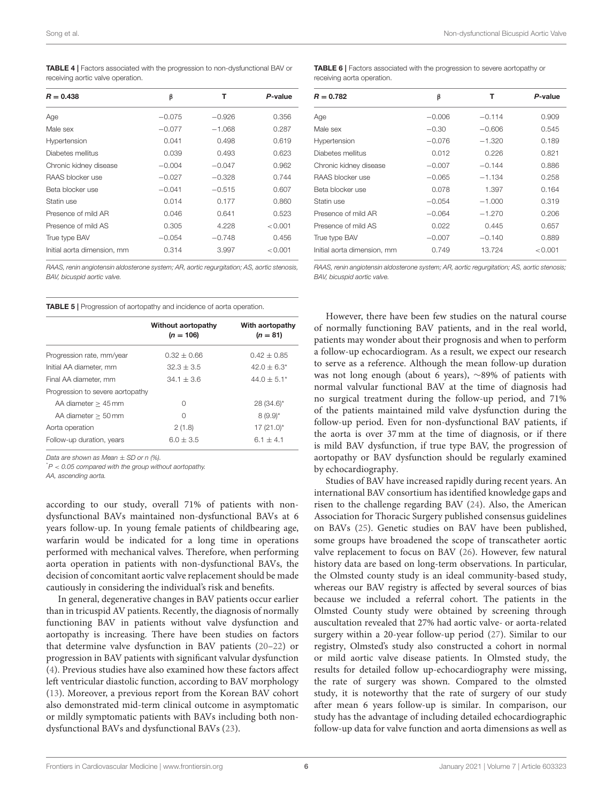<span id="page-5-0"></span>TABLE 4 | Factors associated with the progression to non-dysfunctional BAV or receiving aortic valve operation.

| $R = 0.438$                 | β        | т        | P-value |
|-----------------------------|----------|----------|---------|
| Age                         | $-0.075$ | $-0.926$ | 0.356   |
| Male sex                    | $-0.077$ | $-1.068$ | 0.287   |
| Hypertension                | 0.041    | 0.498    | 0.619   |
| Diabetes mellitus           | 0.039    | 0.493    | 0.623   |
| Chronic kidney disease      | $-0.004$ | $-0.047$ | 0.962   |
| RAAS blocker use            | $-0.027$ | $-0.328$ | 0.744   |
| Beta blocker use            | $-0.041$ | $-0.515$ | 0.607   |
| Statin use                  | 0.014    | 0.177    | 0.860   |
| Presence of mild AR         | 0.046    | 0.641    | 0.523   |
| Presence of mild AS         | 0.305    | 4.228    | < 0.001 |
| True type BAV               | $-0.054$ | $-0.748$ | 0.456   |
| Initial aorta dimension, mm | 0.314    | 3.997    | < 0.001 |

RAAS, renin angiotensin aldosterone system; AR, aortic regurgitation; AS, aortic stenosis, BAV, bicuspid aortic valve.

<span id="page-5-1"></span>TABLE 5 | Progression of aortopathy and incidence of aorta operation.

|                                  | Without aortopathy<br>$(n = 106)$ | With aortopathy<br>$(n = 81)$ |
|----------------------------------|-----------------------------------|-------------------------------|
| Progression rate, mm/year        | $0.32 + 0.66$                     | $0.42 + 0.85$                 |
| Initial AA diameter, mm          | $32.3 + 3.5$                      | $42.0 + 6.3^*$                |
| Final AA diameter, mm            | $34.1 + 3.6$                      | $44.0 + 5.1*$                 |
| Progression to severe aortopathy |                                   |                               |
| $AA$ diameter $> 45$ mm          | 0                                 | $28(34.6)$ *                  |
| $AA$ diameter $> 50$ mm          | 0                                 | $8(9.9)^{*}$                  |
| Aorta operation                  | 2(1.8)                            | $17(21.0)^{*}$                |
| Follow-up duration, years        | $6.0 + 3.5$                       | $6.1 + 4.1$                   |

Data are shown as Mean  $\pm$  SD or n (%).

 $P < 0.05$  compared with the group without aortopathy.

AA, ascending aorta.

according to our study, overall 71% of patients with nondysfunctional BAVs maintained non-dysfunctional BAVs at 6 years follow-up. In young female patients of childbearing age, warfarin would be indicated for a long time in operations performed with mechanical valves. Therefore, when performing aorta operation in patients with non-dysfunctional BAVs, the decision of concomitant aortic valve replacement should be made cautiously in considering the individual's risk and benefits.

In general, degenerative changes in BAV patients occur earlier than in tricuspid AV patients. Recently, the diagnosis of normally functioning BAV in patients without valve dysfunction and aortopathy is increasing. There have been studies on factors that determine valve dysfunction in BAV patients [\(20](#page-7-4)[–22\)](#page-7-5) or progression in BAV patients with significant valvular dysfunction [\(4\)](#page-6-2). Previous studies have also examined how these factors affect left ventricular diastolic function, according to BAV morphology [\(13\)](#page-6-11). Moreover, a previous report from the Korean BAV cohort also demonstrated mid-term clinical outcome in asymptomatic or mildly symptomatic patients with BAVs including both nondysfunctional BAVs and dysfunctional BAVs [\(23\)](#page-7-6).

<span id="page-5-2"></span>TABLE 6 | Factors associated with the progression to severe aortopathy or receiving aorta operation.

| $R = 0.782$                 | β        | т        | P-value |
|-----------------------------|----------|----------|---------|
| Age                         | $-0.006$ | $-0.114$ | 0.909   |
| Male sex                    | $-0.30$  | $-0.606$ | 0.545   |
| Hypertension                | $-0.076$ | $-1.320$ | 0.189   |
| Diabetes mellitus           | 0.012    | 0.226    | 0.821   |
| Chronic kidney disease      | $-0.007$ | $-0.144$ | 0.886   |
| RAAS blocker use            | $-0.065$ | $-1.134$ | 0.258   |
| Beta blocker use            | 0.078    | 1.397    | 0.164   |
| Statin use                  | $-0.054$ | $-1.000$ | 0.319   |
| Presence of mild AR         | $-0.064$ | $-1.270$ | 0.206   |
| Presence of mild AS         | 0.022    | 0.445    | 0.657   |
| True type BAV               | $-0.007$ | $-0.140$ | 0.889   |
| Initial aorta dimension, mm | 0.749    | 13.724   | < 0.001 |

RAAS, renin angiotensin aldosterone system; AR, aortic regurgitation; AS, aortic stenosis; BAV, bicuspid aortic valve.

However, there have been few studies on the natural course of normally functioning BAV patients, and in the real world, patients may wonder about their prognosis and when to perform a follow-up echocardiogram. As a result, we expect our research to serve as a reference. Although the mean follow-up duration was not long enough (about 6 years), ∼89% of patients with normal valvular functional BAV at the time of diagnosis had no surgical treatment during the follow-up period, and 71% of the patients maintained mild valve dysfunction during the follow-up period. Even for non-dysfunctional BAV patients, if the aorta is over 37 mm at the time of diagnosis, or if there is mild BAV dysfunction, if true type BAV, the progression of aortopathy or BAV dysfunction should be regularly examined by echocardiography.

Studies of BAV have increased rapidly during recent years. An international BAV consortium has identified knowledge gaps and risen to the challenge regarding BAV [\(24\)](#page-7-7). Also, the American Association for Thoracic Surgery published consensus guidelines on BAVs [\(25\)](#page-7-8). Genetic studies on BAV have been published, some groups have broadened the scope of transcatheter aortic valve replacement to focus on BAV [\(26\)](#page-7-9). However, few natural history data are based on long-term observations. In particular, the Olmsted county study is an ideal community-based study, whereas our BAV registry is affected by several sources of bias because we included a referral cohort. The patients in the Olmsted County study were obtained by screening through auscultation revealed that 27% had aortic valve- or aorta-related surgery within a 20-year follow-up period [\(27\)](#page-7-10). Similar to our registry, Olmsted's study also constructed a cohort in normal or mild aortic valve disease patients. In Olmsted study, the results for detailed follow up-echocardiography were missing, the rate of surgery was shown. Compared to the olmsted study, it is noteworthy that the rate of surgery of our study after mean 6 years follow-up is similar. In comparison, our study has the advantage of including detailed echocardiographic follow-up data for valve function and aorta dimensions as well as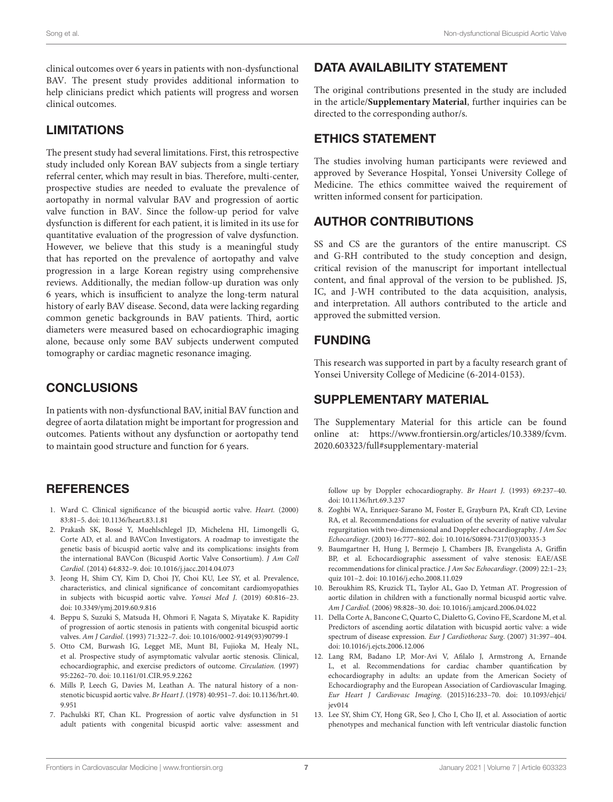clinical outcomes over 6 years in patients with non-dysfunctional BAV. The present study provides additional information to help clinicians predict which patients will progress and worsen clinical outcomes.

#### LIMITATIONS

The present study had several limitations. First, this retrospective study included only Korean BAV subjects from a single tertiary referral center, which may result in bias. Therefore, multi-center, prospective studies are needed to evaluate the prevalence of aortopathy in normal valvular BAV and progression of aortic valve function in BAV. Since the follow-up period for valve dysfunction is different for each patient, it is limited in its use for quantitative evaluation of the progression of valve dysfunction. However, we believe that this study is a meaningful study that has reported on the prevalence of aortopathy and valve progression in a large Korean registry using comprehensive reviews. Additionally, the median follow-up duration was only 6 years, which is insufficient to analyze the long-term natural history of early BAV disease. Second, data were lacking regarding common genetic backgrounds in BAV patients. Third, aortic diameters were measured based on echocardiographic imaging alone, because only some BAV subjects underwent computed tomography or cardiac magnetic resonance imaging.

# CONCLUSIONS

In patients with non-dysfunctional BAV, initial BAV function and degree of aorta dilatation might be important for progression and outcomes. Patients without any dysfunction or aortopathy tend to maintain good structure and function for 6 years.

#### **REFERENCES**

- <span id="page-6-0"></span>1. Ward C. Clinical significance of the bicuspid aortic valve. Heart. (2000) 83:81–5. doi: [10.1136/heart.83.1.81](https://doi.org/10.1136/heart.83.1.81)
- 2. Prakash SK, Bossé Y, Muehlschlegel JD, Michelena HI, Limongelli G, Corte AD, et al. and BAVCon Investigators. A roadmap to investigate the genetic basis of bicuspid aortic valve and its complications: insights from the international BAVCon (Bicuspid Aortic Valve Consortium). J Am Coll Cardiol. (2014) 64:832–9. doi: [10.1016/j.jacc.2014.04.073](https://doi.org/10.1016/j.jacc.2014.04.073)
- <span id="page-6-1"></span>3. Jeong H, Shim CY, Kim D, Choi JY, Choi KU, Lee SY, et al. Prevalence, characteristics, and clinical significance of concomitant cardiomyopathies in subjects with bicuspid aortic valve. Yonsei Med J. (2019) 60:816–23. doi: [10.3349/ymj.2019.60.9.816](https://doi.org/10.3349/ymj.2019.60.9.816)
- <span id="page-6-2"></span>4. Beppu S, Suzuki S, Matsuda H, Ohmori F, Nagata S, Miyatake K. Rapidity of progression of aortic stenosis in patients with congenital bicuspid aortic valves. Am J Cardiol. (1993) 71:322–7. doi: [10.1016/0002-9149\(93\)90799-I](https://doi.org/10.1016/0002-9149(93)90799-I)
- <span id="page-6-3"></span>5. Otto CM, Burwash IG, Legget ME, Munt BI, Fujioka M, Healy NL, et al. Prospective study of asymptomatic valvular aortic stenosis. Clinical, echocardiographic, and exercise predictors of outcome. Circulation. (1997) 95:2262–70. doi: [10.1161/01.CIR.95.9.2262](https://doi.org/10.1161/01.CIR.95.9.2262)
- <span id="page-6-4"></span>6. Mills P, Leech G, Davies M, Leathan A. The natural history of a nonstenotic bicuspid aortic valve. Br Heart J. [\(1978\) 40:951–7. doi: 10.1136/hrt.40.](https://doi.org/10.1136/hrt.40.9.951) 9.951
- <span id="page-6-5"></span>7. Pachulski RT, Chan KL. Progression of aortic valve dysfunction in 51 adult patients with congenital bicuspid aortic valve: assessment and

## DATA AVAILABILITY STATEMENT

The original contributions presented in the study are included in the article/**[Supplementary Material](#page-6-12)**, further inquiries can be directed to the corresponding author/s.

#### ETHICS STATEMENT

The studies involving human participants were reviewed and approved by Severance Hospital, Yonsei University College of Medicine. The ethics committee waived the requirement of written informed consent for participation.

# AUTHOR CONTRIBUTIONS

SS and CS are the gurantors of the entire manuscript. CS and G-RH contributed to the study conception and design, critical revision of the manuscript for important intellectual content, and final approval of the version to be published. JS, IC, and J-WH contributed to the data acquisition, analysis, and interpretation. All authors contributed to the article and approved the submitted version.

## FUNDING

This research was supported in part by a faculty research grant of Yonsei University College of Medicine (6-2014-0153).

## SUPPLEMENTARY MATERIAL

<span id="page-6-12"></span>The Supplementary Material for this article can be found [online at: https://www.frontiersin.org/articles/10.3389/fcvm.](https://www.frontiersin.org/articles/10.3389/fcvm.2020.603323/full#supplementary-material) 2020.603323/full#supplementary-material

follow up by Doppler echocardiography. Br Heart J. (1993) 69:237–40. doi: [10.1136/hrt.69.3.237](https://doi.org/10.1136/hrt.69.3.237)

- <span id="page-6-6"></span>8. Zoghbi WA, Enriquez-Sarano M, Foster E, Grayburn PA, Kraft CD, Levine RA, et al. Recommendations for evaluation of the severity of native valvular regurgitation with two-dimensional and Doppler echocardiography. J Am Soc Echocardiogr. (2003) 16:777–802. doi: [10.1016/S0894-7317\(03\)00335-3](https://doi.org/10.1016/S0894-7317(03)00335-3)
- <span id="page-6-7"></span>9. Baumgartner H, Hung J, Bermejo J, Chambers JB, Evangelista A, Griffin BP, et al. Echocardiographic assessment of valve stenosis: EAE/ASE recommendations for clinical practice. J Am Soc Echocardiogr. (2009) 22:1–23; quiz 101–2. doi: [10.1016/j.echo.2008.11.029](https://doi.org/10.1016/j.echo.2008.11.029)
- <span id="page-6-8"></span>10. Beroukhim RS, Kruzick TL, Taylor AL, Gao D, Yetman AT. Progression of aortic dilation in children with a functionally normal bicuspid aortic valve. Am J Cardiol. (2006) 98:828–30. doi: [10.1016/j.amjcard.2006.04.022](https://doi.org/10.1016/j.amjcard.2006.04.022)
- <span id="page-6-9"></span>11. Della Corte A, Bancone C, Quarto C, Dialetto G, Covino FE, Scardone M, et al. Predictors of ascending aortic dilatation with bicuspid aortic valve: a wide spectrum of disease expression. Eur J Cardiothorac Surg. (2007) 31:397–404. doi: [10.1016/j.ejcts.2006.12.006](https://doi.org/10.1016/j.ejcts.2006.12.006)
- <span id="page-6-10"></span>12. Lang RM, Badano LP, Mor-Avi V, Afilalo J, Armstrong A, Ernande L, et al. Recommendations for cardiac chamber quantification by echocardiography in adults: an update from the American Society of Echocardiography and the European Association of Cardiovascular Imaging. Eur Heart J Cardiovasc Imaging[. \(2015\)16:233–70. doi: 10.1093/ehjci/](https://doi.org/10.1093/ehjci/jev014) jev014
- <span id="page-6-11"></span>13. Lee SY, Shim CY, Hong GR, Seo J, Cho I, Cho IJ, et al. Association of aortic phenotypes and mechanical function with left ventricular diastolic function